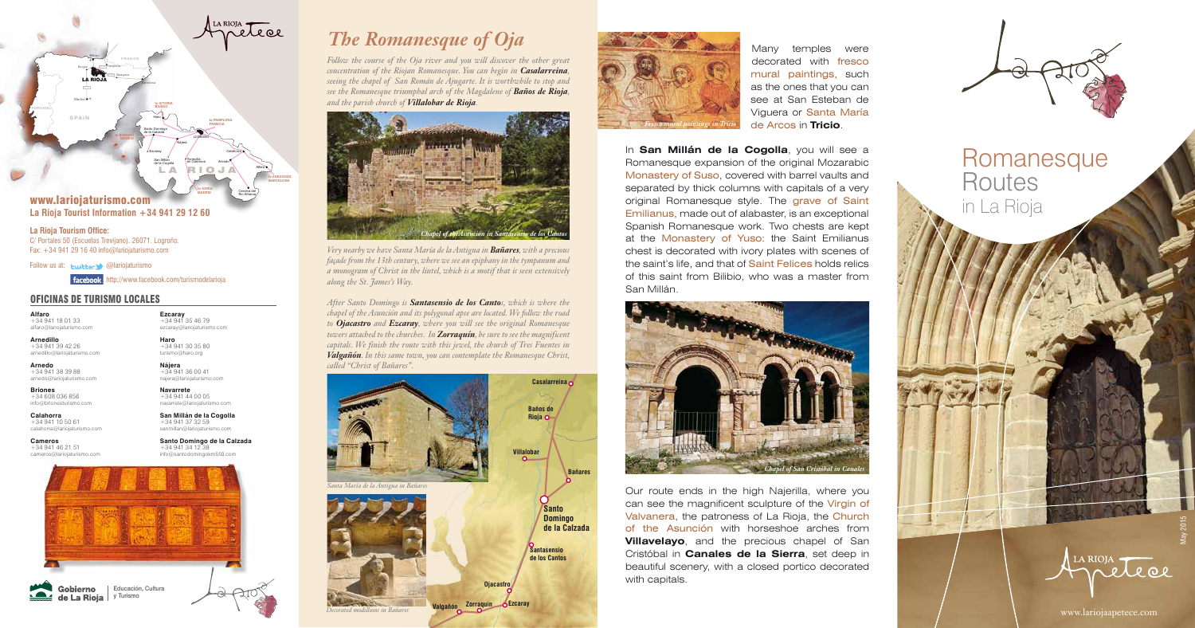# *The Romanesque of Oja*

*Follow the course of the Oja river and you will discover the other great concentration of the Riojan Romanesque. You can begin in Casalarreina, seeing the chapel of San Román de Ajugarte. It is worthwhile to stop and see the Romanesque triumphal arch of the Magdalene of Baños de Rioja, and the parish church of Villalobar de Rioja.* 

*Very nearby we have Santa María de la Antigua in Bañares, with a precious façade from the 13th century, where we see an epiphany in the tympanum and a monogram of Christ in the lintel, which is a motif that is seen extensively along the St. James's Way.* 

*After Santo Domingo is Santasensio de los Cantos, which is where the chapel of the Asunción and its polygonal apse are located. We follow the road to Ojacastro and Ezcaray, where you will see the original Romanesque towers attached to the churches. In Zorraquín, be sure to see the magnificent capitals. We finish the route with this jewel, the church of Tres Fuentes in Valgañón. In this same town, you can contemplate the Romanesque Christ, called "Christ of Bañares".*

> Our route ends in the high Najerilla, where you can see the magnificent sculpture of the Virgin of Valvanera, the patroness of La Rioja, the Church of the Asunción with horseshoe arches from **Villavelayo**, and the precious chapel of San Cristóbal in **Canales de la Sierra**, set deep in beautiful scenery, with a closed portico decorated with capitals.



# Romanesque **Routes** in La Rioja

Many temples were decorated with fresco mural paintings, such as the ones that you can see at San Esteban de Viguera or Santa María de Arcos in **Tricio**.

In **San Millán de la Cogolla**, you will see a Romanesque expansion of the original Mozarabic Monastery of Suso, covered with barrel vaults and separated by thick columns with capitals of a very original Romanesque style. The grave of Saint Emilianus, made out of alabaster, is an exceptional Spanish Romanesque work. Two chests are kept at the Monastery of Yuso: the Saint Emilianus chest is decorated with ivory plates with scenes of the saint's life, and that of Saint Felices holds relics of this saint from Bilibio, who was a master from San Millán.











www.lariojaapetece.com

May 2015

**Alfaro** +34 941 18 01 33 alfaro@lariojaturismo.com

**Arnedillo** +34 941 39 42 26 arnedillo@lariojaturismo.com

**Arnedo** +34 941 38 39 88 arnedo@lariojaturismo.com



**Briones** +34 608 036 856 info@brionesturismo.com **Calahorra** +34 941 10 50 61 calahorra@lariojaturismo.com

**Cameros** +34 941 46 21 51 cameros@lariojaturismo.com

**Ezcaray** +34 941 35 46 79 ezcaray@lariojaturismo.com

**Haro** +34 941 30 35 80 turismo@haro.org

**Nájera** +34 941 36 00 41 najera@lariojaturismo.com

> **Navarrete**  $+34941440005$ navarrete@lariojaturismo.com

**San Millán de la Cogolla** +34 941 37 32 59 sanmillan@lariojaturismo.com

**Santo Domingo de la Calzada** +34 941 34 12 38 info@santodomingokm550.com

### OFICINAS DE TURISMO LOCALES

**La Rioja Tourism Office:** C/ Portales 50 (Escuelas Trevijano). 26071. Logroño. Fax: +34 941 29 16 40 info@lariojaturismo.com

Follow us at: **Ewitter Colariojaturismo** 

**facebook** http://www.facebook.com/turismodelarioja